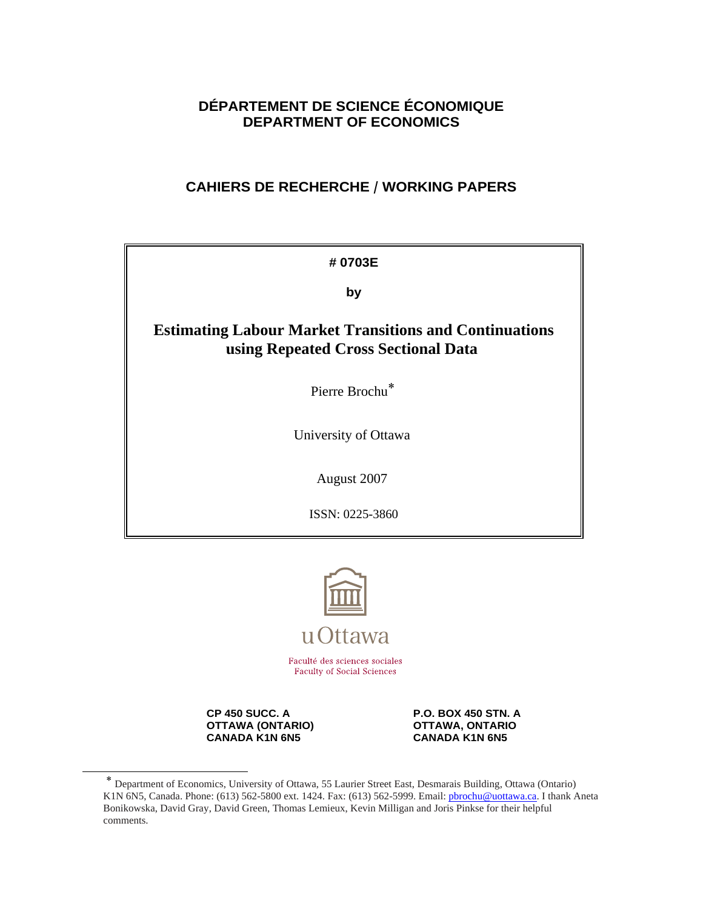# **DÉPARTEMENT DE SCIENCE ÉCONOMIQUE DEPARTMENT OF ECONOMICS**

# **CAHIERS DE RECHERCHE / WORKING PAPERS**

| #0703E                                                                                               |  |  |  |  |
|------------------------------------------------------------------------------------------------------|--|--|--|--|
| by                                                                                                   |  |  |  |  |
| <b>Estimating Labour Market Transitions and Continuations</b><br>using Repeated Cross Sectional Data |  |  |  |  |
| Pierre Brochu <sup>*</sup>                                                                           |  |  |  |  |
| University of Ottawa                                                                                 |  |  |  |  |
| August 2007                                                                                          |  |  |  |  |
| ISSN: 0225-3860                                                                                      |  |  |  |  |



**OTTAWA (ONTARIO) CANADA KANA CANADA KANA GANADA KANA GANADA KANA GANADA KANA GANADA KANA GANADA KANA GANADA KANA GANADA KANA GANADA KANA GANADA KANA GANADA KANA GANADA KANA GANADA KANA GANADA KANA GANADA KANA GANADA KANA CANADA K1N 6N5** 

**CP 450 SUCC. A P.O. BOX 450 STN. A**<br> **P.O. BOX 450 STN. A** OTTAWA, ONTARIO

 <sup>∗</sup> Department of Economics, University of Ottawa, 55 Laurier Street East, Desmarais Building, Ottawa (Ontario) K1N 6N5, Canada. Phone: (613) 562-5800 ext. 1424. Fax: (613) 562-5999. Email: pbrochu@uottawa.ca. I thank Aneta Bonikowska, David Gray, David Green, Thomas Lemieux, Kevin Milligan and Joris Pinkse for their helpful comments.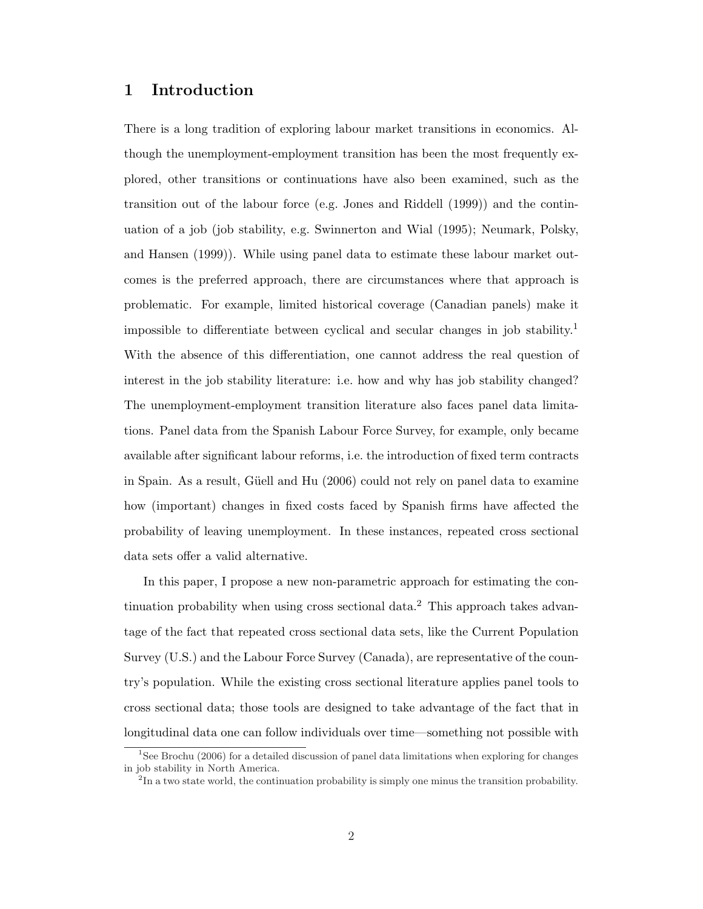## 1 Introduction

There is a long tradition of exploring labour market transitions in economics. Although the unemployment-employment transition has been the most frequently explored, other transitions or continuations have also been examined, such as the transition out of the labour force (e.g. Jones and Riddell (1999)) and the continuation of a job (job stability, e.g. Swinnerton and Wial (1995); Neumark, Polsky, and Hansen (1999)). While using panel data to estimate these labour market outcomes is the preferred approach, there are circumstances where that approach is problematic. For example, limited historical coverage (Canadian panels) make it impossible to differentiate between cyclical and secular changes in job stability.<sup>1</sup> With the absence of this differentiation, one cannot address the real question of interest in the job stability literature: i.e. how and why has job stability changed? The unemployment-employment transition literature also faces panel data limitations. Panel data from the Spanish Labour Force Survey, for example, only became available after significant labour reforms, i.e. the introduction of fixed term contracts in Spain. As a result, Güell and Hu (2006) could not rely on panel data to examine how (important) changes in fixed costs faced by Spanish firms have affected the probability of leaving unemployment. In these instances, repeated cross sectional data sets offer a valid alternative.

In this paper, I propose a new non-parametric approach for estimating the continuation probability when using cross sectional data.<sup>2</sup> This approach takes advantage of the fact that repeated cross sectional data sets, like the Current Population Survey (U.S.) and the Labour Force Survey (Canada), are representative of the country's population. While the existing cross sectional literature applies panel tools to cross sectional data; those tools are designed to take advantage of the fact that in longitudinal data one can follow individuals over time—something not possible with

<sup>&</sup>lt;sup>1</sup>See Brochu (2006) for a detailed discussion of panel data limitations when exploring for changes in job stability in North America.

<sup>&</sup>lt;sup>2</sup>In a two state world, the continuation probability is simply one minus the transition probability.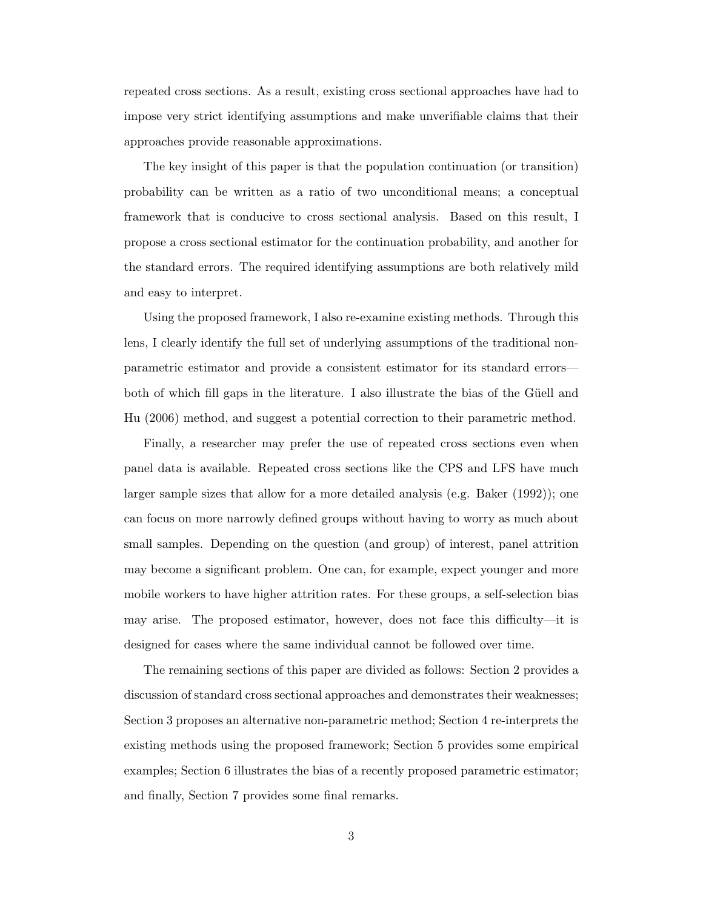repeated cross sections. As a result, existing cross sectional approaches have had to impose very strict identifying assumptions and make unverifiable claims that their approaches provide reasonable approximations.

The key insight of this paper is that the population continuation (or transition) probability can be written as a ratio of two unconditional means; a conceptual framework that is conducive to cross sectional analysis. Based on this result, I propose a cross sectional estimator for the continuation probability, and another for the standard errors. The required identifying assumptions are both relatively mild and easy to interpret.

Using the proposed framework, I also re-examine existing methods. Through this lens, I clearly identify the full set of underlying assumptions of the traditional nonparametric estimator and provide a consistent estimator for its standard errors both of which fill gaps in the literature. I also illustrate the bias of the Güell and Hu (2006) method, and suggest a potential correction to their parametric method.

Finally, a researcher may prefer the use of repeated cross sections even when panel data is available. Repeated cross sections like the CPS and LFS have much larger sample sizes that allow for a more detailed analysis (e.g. Baker (1992)); one can focus on more narrowly defined groups without having to worry as much about small samples. Depending on the question (and group) of interest, panel attrition may become a significant problem. One can, for example, expect younger and more mobile workers to have higher attrition rates. For these groups, a self-selection bias may arise. The proposed estimator, however, does not face this difficulty—it is designed for cases where the same individual cannot be followed over time.

The remaining sections of this paper are divided as follows: Section 2 provides a discussion of standard cross sectional approaches and demonstrates their weaknesses; Section 3 proposes an alternative non-parametric method; Section 4 re-interprets the existing methods using the proposed framework; Section 5 provides some empirical examples; Section 6 illustrates the bias of a recently proposed parametric estimator; and finally, Section 7 provides some final remarks.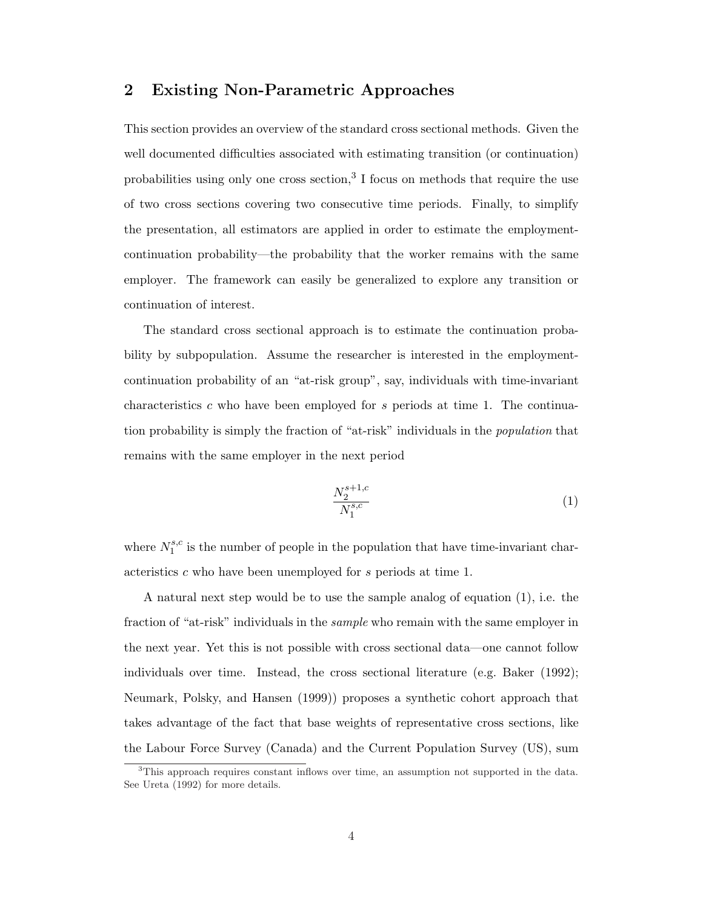# 2 Existing Non-Parametric Approaches

This section provides an overview of the standard cross sectional methods. Given the well documented difficulties associated with estimating transition (or continuation) probabilities using only one cross section,<sup>3</sup> I focus on methods that require the use of two cross sections covering two consecutive time periods. Finally, to simplify the presentation, all estimators are applied in order to estimate the employmentcontinuation probability—the probability that the worker remains with the same employer. The framework can easily be generalized to explore any transition or continuation of interest.

The standard cross sectional approach is to estimate the continuation probability by subpopulation. Assume the researcher is interested in the employmentcontinuation probability of an "at-risk group", say, individuals with time-invariant characteristics c who have been employed for s periods at time 1. The continuation probability is simply the fraction of "at-risk" individuals in the population that remains with the same employer in the next period

$$
\frac{N_2^{s+1,c}}{N_1^{s,c}}\tag{1}
$$

where  $N_1^{s,c}$  $i_1^{s,c}$  is the number of people in the population that have time-invariant characteristics c who have been unemployed for s periods at time 1.

A natural next step would be to use the sample analog of equation (1), i.e. the fraction of "at-risk" individuals in the *sample* who remain with the same employer in the next year. Yet this is not possible with cross sectional data—one cannot follow individuals over time. Instead, the cross sectional literature (e.g. Baker (1992); Neumark, Polsky, and Hansen (1999)) proposes a synthetic cohort approach that takes advantage of the fact that base weights of representative cross sections, like the Labour Force Survey (Canada) and the Current Population Survey (US), sum

<sup>3</sup>This approach requires constant inflows over time, an assumption not supported in the data. See Ureta (1992) for more details.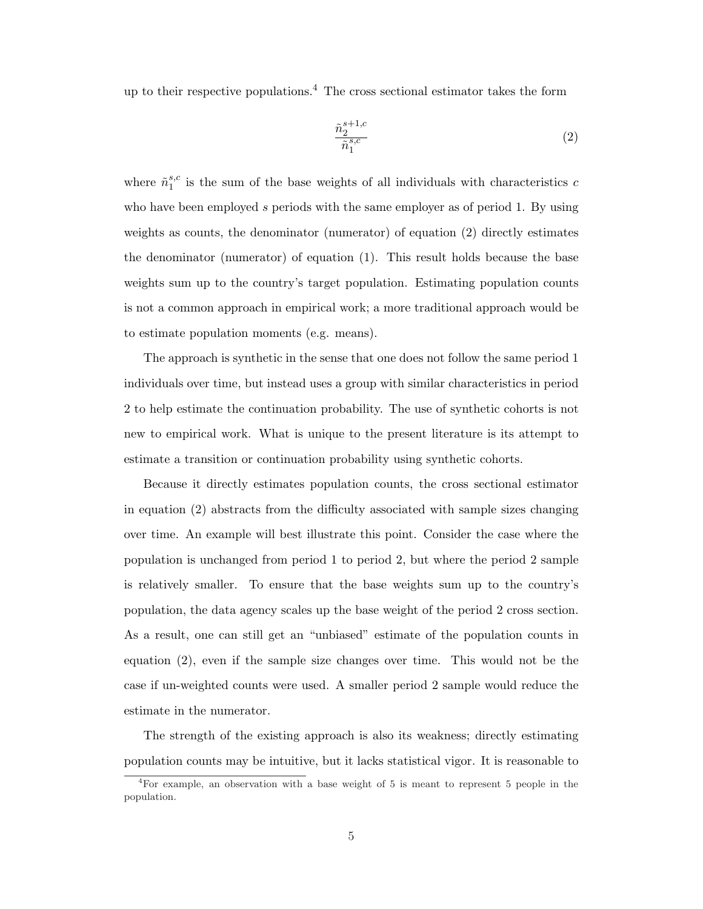up to their respective populations.<sup>4</sup> The cross sectional estimator takes the form

$$
\frac{\tilde{n}_2^{s+1,c}}{\tilde{n}_1^{s,c}}\tag{2}
$$

where  $\tilde{n}_1^{s,c}$  $i_1^s$  is the sum of the base weights of all individuals with characteristics c who have been employed s periods with the same employer as of period 1. By using weights as counts, the denominator (numerator) of equation (2) directly estimates the denominator (numerator) of equation (1). This result holds because the base weights sum up to the country's target population. Estimating population counts is not a common approach in empirical work; a more traditional approach would be to estimate population moments (e.g. means).

The approach is synthetic in the sense that one does not follow the same period 1 individuals over time, but instead uses a group with similar characteristics in period 2 to help estimate the continuation probability. The use of synthetic cohorts is not new to empirical work. What is unique to the present literature is its attempt to estimate a transition or continuation probability using synthetic cohorts.

Because it directly estimates population counts, the cross sectional estimator in equation (2) abstracts from the difficulty associated with sample sizes changing over time. An example will best illustrate this point. Consider the case where the population is unchanged from period 1 to period 2, but where the period 2 sample is relatively smaller. To ensure that the base weights sum up to the country's population, the data agency scales up the base weight of the period 2 cross section. As a result, one can still get an "unbiased" estimate of the population counts in equation (2), even if the sample size changes over time. This would not be the case if un-weighted counts were used. A smaller period 2 sample would reduce the estimate in the numerator.

The strength of the existing approach is also its weakness; directly estimating population counts may be intuitive, but it lacks statistical vigor. It is reasonable to

<sup>4</sup>For example, an observation with a base weight of 5 is meant to represent 5 people in the population.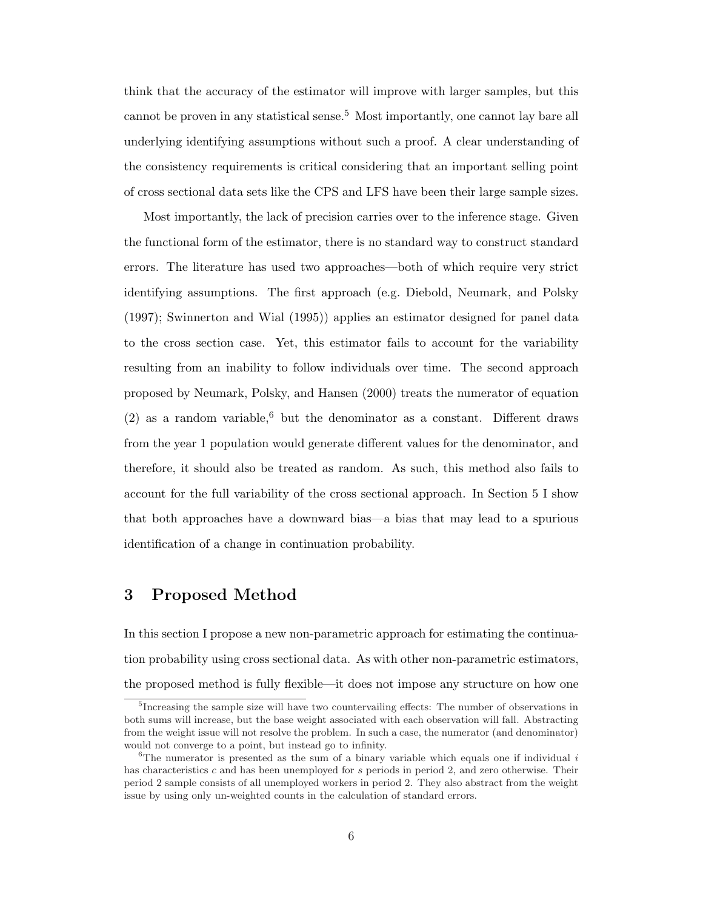think that the accuracy of the estimator will improve with larger samples, but this cannot be proven in any statistical sense.<sup>5</sup> Most importantly, one cannot lay bare all underlying identifying assumptions without such a proof. A clear understanding of the consistency requirements is critical considering that an important selling point of cross sectional data sets like the CPS and LFS have been their large sample sizes.

Most importantly, the lack of precision carries over to the inference stage. Given the functional form of the estimator, there is no standard way to construct standard errors. The literature has used two approaches—both of which require very strict identifying assumptions. The first approach (e.g. Diebold, Neumark, and Polsky (1997); Swinnerton and Wial (1995)) applies an estimator designed for panel data to the cross section case. Yet, this estimator fails to account for the variability resulting from an inability to follow individuals over time. The second approach proposed by Neumark, Polsky, and Hansen (2000) treats the numerator of equation (2) as a random variable,<sup>6</sup> but the denominator as a constant. Different draws from the year 1 population would generate different values for the denominator, and therefore, it should also be treated as random. As such, this method also fails to account for the full variability of the cross sectional approach. In Section 5 I show that both approaches have a downward bias—a bias that may lead to a spurious identification of a change in continuation probability.

### 3 Proposed Method

In this section I propose a new non-parametric approach for estimating the continuation probability using cross sectional data. As with other non-parametric estimators, the proposed method is fully flexible—it does not impose any structure on how one

<sup>&</sup>lt;sup>5</sup>Increasing the sample size will have two countervailing effects: The number of observations in both sums will increase, but the base weight associated with each observation will fall. Abstracting from the weight issue will not resolve the problem. In such a case, the numerator (and denominator) would not converge to a point, but instead go to infinity.

 $6$ The numerator is presented as the sum of a binary variable which equals one if individual i has characteristics c and has been unemployed for s periods in period 2, and zero otherwise. Their period 2 sample consists of all unemployed workers in period 2. They also abstract from the weight issue by using only un-weighted counts in the calculation of standard errors.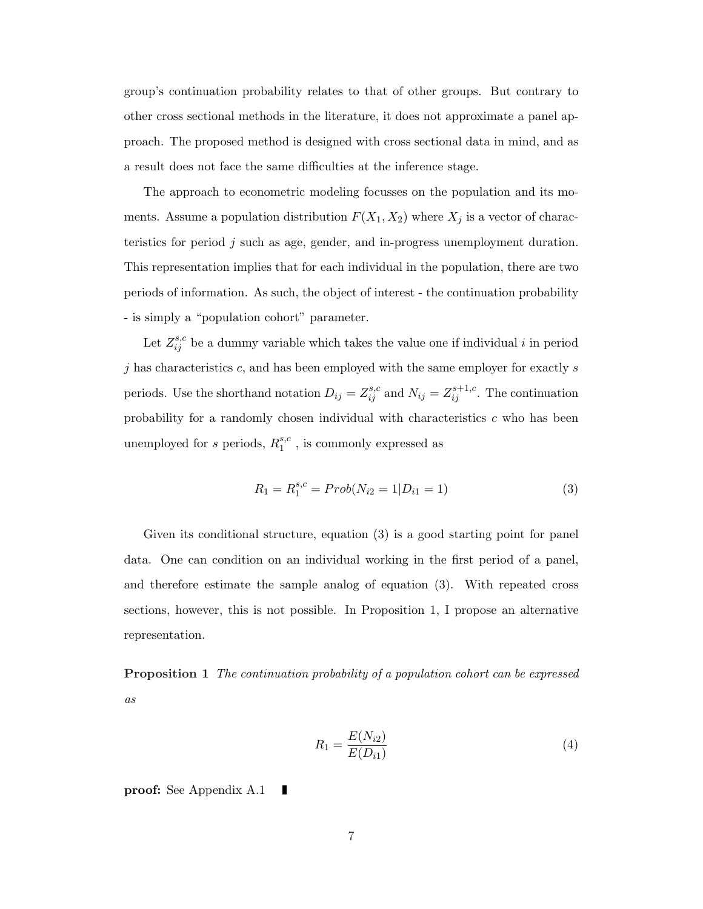group's continuation probability relates to that of other groups. But contrary to other cross sectional methods in the literature, it does not approximate a panel approach. The proposed method is designed with cross sectional data in mind, and as a result does not face the same difficulties at the inference stage.

The approach to econometric modeling focusses on the population and its moments. Assume a population distribution  $F(X_1, X_2)$  where  $X_j$  is a vector of characteristics for period j such as age, gender, and in-progress unemployment duration. This representation implies that for each individual in the population, there are two periods of information. As such, the object of interest - the continuation probability - is simply a "population cohort" parameter.

Let  $Z_{ij}^{s,c}$  be a dummy variable which takes the value one if individual i in period  $j$  has characteristics  $c$ , and has been employed with the same employer for exactly  $s$ periods. Use the shorthand notation  $D_{ij} = Z_{ij}^{s,c}$  and  $N_{ij} = Z_{ij}^{s+1,c}$ . The continuation probability for a randomly chosen individual with characteristics c who has been unemployed for s periods,  $R_1^{s,c}$  $_1^{s,c}$ , is commonly expressed as

$$
R_1 = R_1^{s,c} = Prob(N_{i2} = 1 | D_{i1} = 1)
$$
\n(3)

Given its conditional structure, equation (3) is a good starting point for panel data. One can condition on an individual working in the first period of a panel, and therefore estimate the sample analog of equation (3). With repeated cross sections, however, this is not possible. In Proposition 1, I propose an alternative representation.

Proposition 1 The continuation probability of a population cohort can be expressed as

$$
R_1 = \frac{E(N_{i2})}{E(D_{i1})}
$$
\n(4)

proof: See Appendix A.1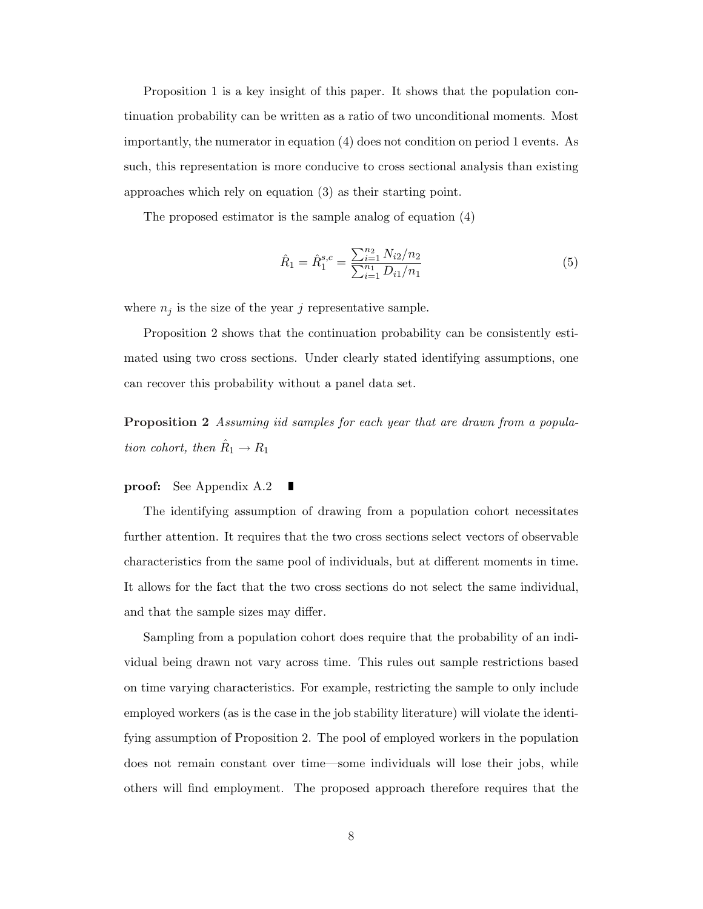Proposition 1 is a key insight of this paper. It shows that the population continuation probability can be written as a ratio of two unconditional moments. Most importantly, the numerator in equation (4) does not condition on period 1 events. As such, this representation is more conducive to cross sectional analysis than existing approaches which rely on equation (3) as their starting point.

The proposed estimator is the sample analog of equation (4)

$$
\hat{R}_1 = \hat{R}_1^{s,c} = \frac{\sum_{i=1}^{n_2} N_{i2}/n_2}{\sum_{i=1}^{n_1} D_{i1}/n_1}
$$
\n(5)

where  $n_j$  is the size of the year j representative sample.

Proposition 2 shows that the continuation probability can be consistently estimated using two cross sections. Under clearly stated identifying assumptions, one can recover this probability without a panel data set.

Proposition 2 Assuming iid samples for each year that are drawn from a population cohort, then  $\hat{R}_1 \rightarrow R_1$ 

#### proof: See Appendix A.2 Г

The identifying assumption of drawing from a population cohort necessitates further attention. It requires that the two cross sections select vectors of observable characteristics from the same pool of individuals, but at different moments in time. It allows for the fact that the two cross sections do not select the same individual, and that the sample sizes may differ.

Sampling from a population cohort does require that the probability of an individual being drawn not vary across time. This rules out sample restrictions based on time varying characteristics. For example, restricting the sample to only include employed workers (as is the case in the job stability literature) will violate the identifying assumption of Proposition 2. The pool of employed workers in the population does not remain constant over time—some individuals will lose their jobs, while others will find employment. The proposed approach therefore requires that the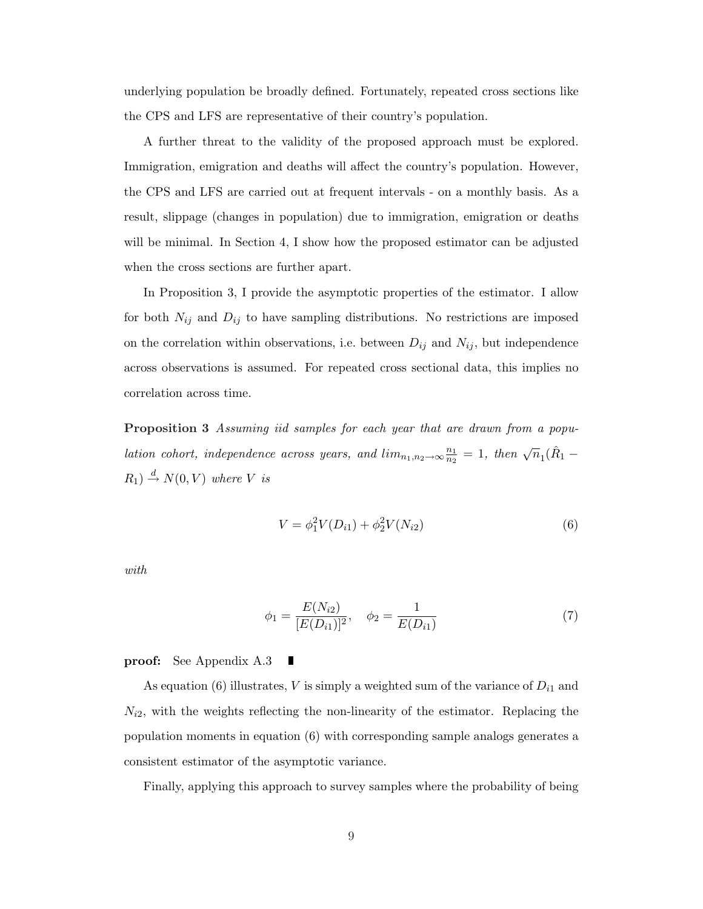underlying population be broadly defined. Fortunately, repeated cross sections like the CPS and LFS are representative of their country's population.

A further threat to the validity of the proposed approach must be explored. Immigration, emigration and deaths will affect the country's population. However, the CPS and LFS are carried out at frequent intervals - on a monthly basis. As a result, slippage (changes in population) due to immigration, emigration or deaths will be minimal. In Section 4, I show how the proposed estimator can be adjusted when the cross sections are further apart.

In Proposition 3, I provide the asymptotic properties of the estimator. I allow for both  $N_{ij}$  and  $D_{ij}$  to have sampling distributions. No restrictions are imposed on the correlation within observations, i.e. between  $D_{ij}$  and  $N_{ij}$ , but independence across observations is assumed. For repeated cross sectional data, this implies no correlation across time.

Proposition 3 Assuming iid samples for each year that are drawn from a population cohort, independence across years, and  $\lim_{n_1,n_2\to\infty} \frac{n_1}{n_2}$  $\frac{n_1}{n_2} = 1$ , then  $\sqrt{n_1}(\hat{R}_1 R_1$   $\stackrel{d}{\rightarrow} N(0, V)$  where V is

$$
V = \phi_1^2 V(D_{i1}) + \phi_2^2 V(N_{i2})
$$
\n(6)

with

$$
\phi_1 = \frac{E(N_{i2})}{[E(D_{i1})]^2}, \quad \phi_2 = \frac{1}{E(D_{i1})}
$$
\n(7)

#### proof: See Appendix A.3

As equation (6) illustrates, V is simply a weighted sum of the variance of  $D_{i1}$  and  $N_{i2}$ , with the weights reflecting the non-linearity of the estimator. Replacing the population moments in equation (6) with corresponding sample analogs generates a consistent estimator of the asymptotic variance.

Finally, applying this approach to survey samples where the probability of being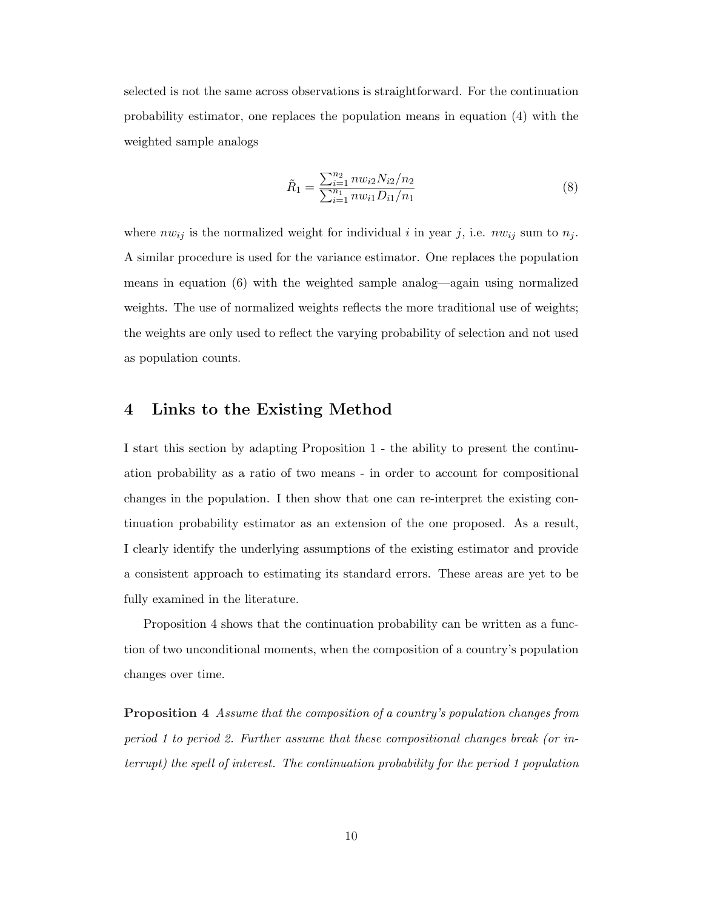selected is not the same across observations is straightforward. For the continuation probability estimator, one replaces the population means in equation (4) with the weighted sample analogs

$$
\tilde{R}_1 = \frac{\sum_{i=1}^{n_2} n w_{i2} N_{i2} / n_2}{\sum_{i=1}^{n_1} n w_{i1} D_{i1} / n_1}
$$
\n(8)

where  $nw_{ij}$  is the normalized weight for individual i in year j, i.e.  $nw_{ij}$  sum to  $n_j$ . A similar procedure is used for the variance estimator. One replaces the population means in equation (6) with the weighted sample analog—again using normalized weights. The use of normalized weights reflects the more traditional use of weights; the weights are only used to reflect the varying probability of selection and not used as population counts.

### 4 Links to the Existing Method

I start this section by adapting Proposition 1 - the ability to present the continuation probability as a ratio of two means - in order to account for compositional changes in the population. I then show that one can re-interpret the existing continuation probability estimator as an extension of the one proposed. As a result, I clearly identify the underlying assumptions of the existing estimator and provide a consistent approach to estimating its standard errors. These areas are yet to be fully examined in the literature.

Proposition 4 shows that the continuation probability can be written as a function of two unconditional moments, when the composition of a country's population changes over time.

Proposition 4 Assume that the composition of a country's population changes from period 1 to period 2. Further assume that these compositional changes break (or interrupt) the spell of interest. The continuation probability for the period 1 population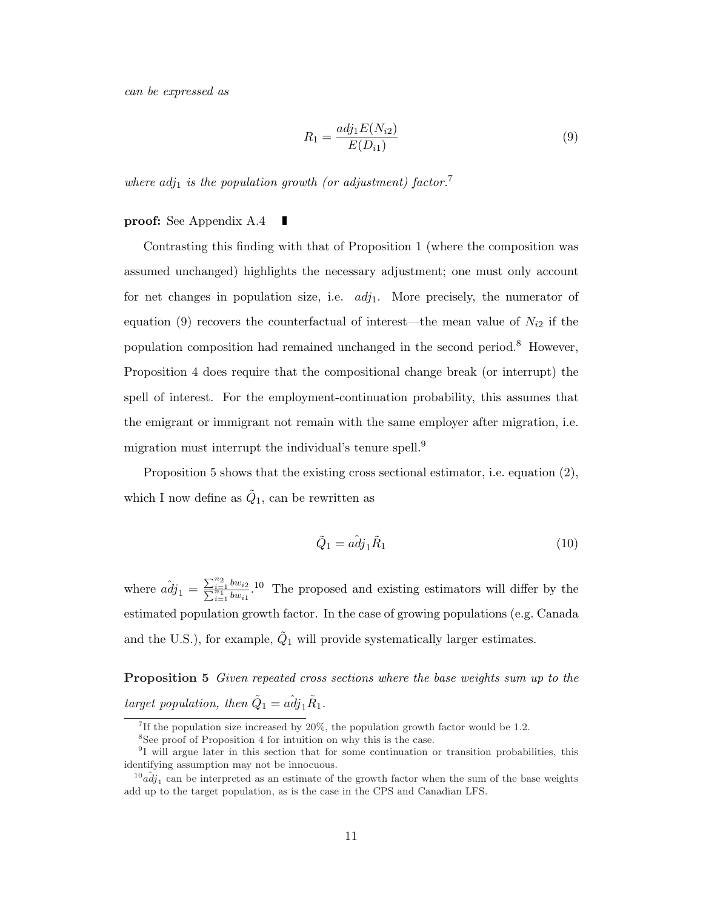can be expressed as

$$
R_1 = \frac{adj_1 E(N_{i2})}{E(D_{i1})}
$$
\n(9)

where  $adj_1$  is the population growth (or adjustment) factor.<sup>7</sup>

#### proof: See Appendix A.4

Contrasting this finding with that of Proposition 1 (where the composition was assumed unchanged) highlights the necessary adjustment; one must only account for net changes in population size, i.e.  $adj_1$ . More precisely, the numerator of equation (9) recovers the counterfactual of interest—the mean value of  $N_{i2}$  if the population composition had remained unchanged in the second period.<sup>8</sup> However, Proposition 4 does require that the compositional change break (or interrupt) the spell of interest. For the employment-continuation probability, this assumes that the emigrant or immigrant not remain with the same employer after migration, i.e. migration must interrupt the individual's tenure spell.<sup>9</sup>

Proposition 5 shows that the existing cross sectional estimator, i.e. equation (2), which I now define as  $\tilde{Q}_1$ , can be rewritten as

$$
\tilde{Q}_1 = a\hat{d}j_1\tilde{R}_1\tag{10}
$$

where  $\hat{adj}_1 =$  $\sum_{n_2}$  $\sum_{i=1}^{n_2} \frac{bw_{i2}}{bw_{i1}}$ <sup>10</sup> The proposed and existing estimators will differ by the estimated population growth factor. In the case of growing populations (e.g. Canada and the U.S.), for example,  $\tilde{Q}_1$  will provide systematically larger estimates.

Proposition 5 Given repeated cross sections where the base weights sum up to the target population, then  $\tilde{Q}_1 = a \hat{d} j_1 \tilde{R}_1$ .

<sup>&</sup>lt;sup>7</sup>If the population size increased by  $20\%$ , the population growth factor would be 1.2.

<sup>&</sup>lt;sup>8</sup>See proof of Proposition 4 for intuition on why this is the case.

<sup>9</sup> I will argue later in this section that for some continuation or transition probabilities, this identifying assumption may not be innocuous.

 $^{10}a\hat{d}j_1$  can be interpreted as an estimate of the growth factor when the sum of the base weights add up to the target population, as is the case in the CPS and Canadian LFS.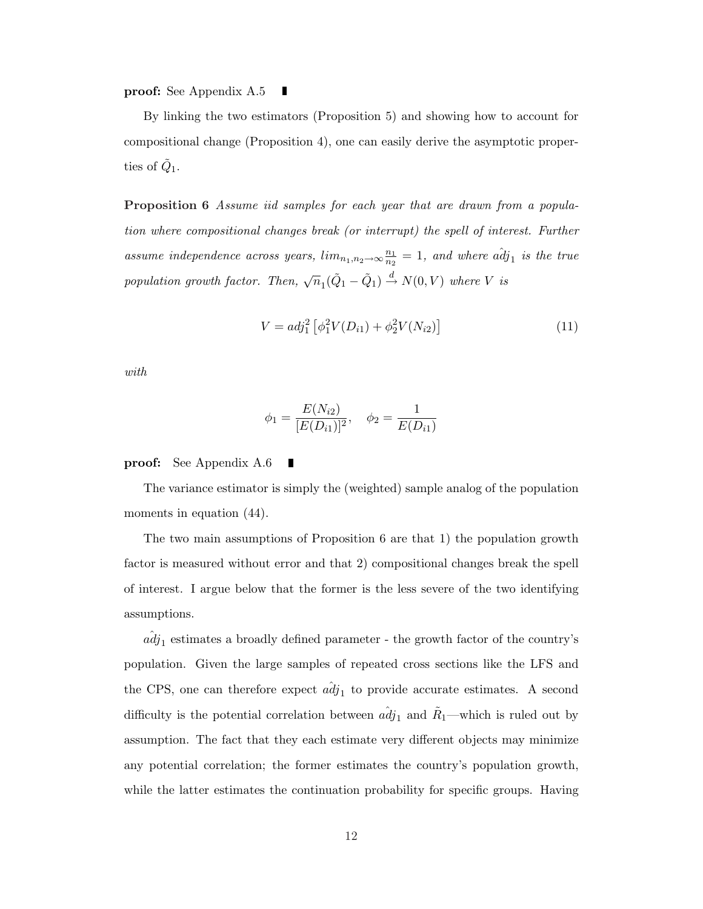proof: See Appendix A.5 ш

By linking the two estimators (Proposition 5) and showing how to account for compositional change (Proposition 4), one can easily derive the asymptotic properties of  $\tilde{Q}_1$ .

Proposition 6 Assume iid samples for each year that are drawn from a population where compositional changes break (or interrupt) the spell of interest. Further assume independence across years,  $lim_{n_1,n_2\to\infty} \frac{n_1}{n_2}$  $\frac{n_1}{n_2} = 1$ , and where  $a\hat{d}j_1$  is the true population growth factor. Then,  $\sqrt{n}_1(\tilde{Q}_1 - \tilde{Q}_1) \stackrel{d}{\rightarrow} N(0, V)$  where V is

$$
V = adj_1^2 [\phi_1^2 V(D_{i1}) + \phi_2^2 V(N_{i2})]
$$
\n(11)

with

$$
\phi_1 = \frac{E(N_{i2})}{[E(D_{i1})]^2}, \quad \phi_2 = \frac{1}{E(D_{i1})}
$$

proof: See Appendix A.6

The variance estimator is simply the (weighted) sample analog of the population moments in equation  $(44)$ .

The two main assumptions of Proposition 6 are that 1) the population growth factor is measured without error and that 2) compositional changes break the spell of interest. I argue below that the former is the less severe of the two identifying assumptions.

 $\hat{adj}_1$  estimates a broadly defined parameter - the growth factor of the country's population. Given the large samples of repeated cross sections like the LFS and the CPS, one can therefore expect  $\hat{adj}_1$  to provide accurate estimates. A second difficulty is the potential correlation between  $a\hat{d}j_1$  and  $\tilde{R}_1$ —which is ruled out by assumption. The fact that they each estimate very different objects may minimize any potential correlation; the former estimates the country's population growth, while the latter estimates the continuation probability for specific groups. Having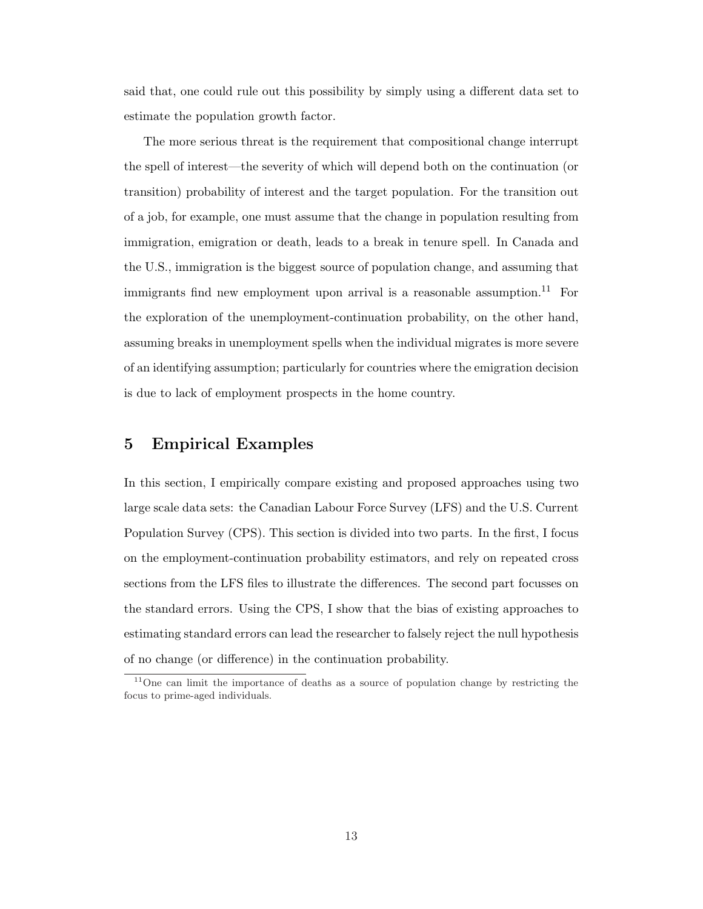said that, one could rule out this possibility by simply using a different data set to estimate the population growth factor.

The more serious threat is the requirement that compositional change interrupt the spell of interest—the severity of which will depend both on the continuation (or transition) probability of interest and the target population. For the transition out of a job, for example, one must assume that the change in population resulting from immigration, emigration or death, leads to a break in tenure spell. In Canada and the U.S., immigration is the biggest source of population change, and assuming that immigrants find new employment upon arrival is a reasonable assumption.<sup>11</sup> For the exploration of the unemployment-continuation probability, on the other hand, assuming breaks in unemployment spells when the individual migrates is more severe of an identifying assumption; particularly for countries where the emigration decision is due to lack of employment prospects in the home country.

### 5 Empirical Examples

In this section, I empirically compare existing and proposed approaches using two large scale data sets: the Canadian Labour Force Survey (LFS) and the U.S. Current Population Survey (CPS). This section is divided into two parts. In the first, I focus on the employment-continuation probability estimators, and rely on repeated cross sections from the LFS files to illustrate the differences. The second part focusses on the standard errors. Using the CPS, I show that the bias of existing approaches to estimating standard errors can lead the researcher to falsely reject the null hypothesis of no change (or difference) in the continuation probability.

<sup>&</sup>lt;sup>11</sup>One can limit the importance of deaths as a source of population change by restricting the focus to prime-aged individuals.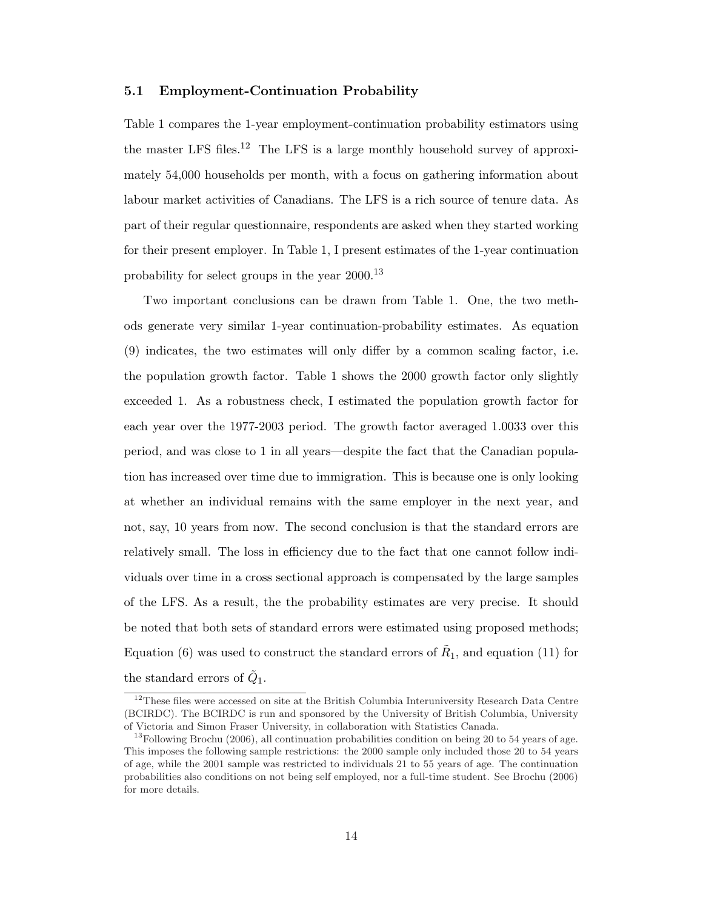#### 5.1 Employment-Continuation Probability

Table 1 compares the 1-year employment-continuation probability estimators using the master LFS files.<sup>12</sup> The LFS is a large monthly household survey of approximately 54,000 households per month, with a focus on gathering information about labour market activities of Canadians. The LFS is a rich source of tenure data. As part of their regular questionnaire, respondents are asked when they started working for their present employer. In Table 1, I present estimates of the 1-year continuation probability for select groups in the year 2000.<sup>13</sup>

Two important conclusions can be drawn from Table 1. One, the two methods generate very similar 1-year continuation-probability estimates. As equation (9) indicates, the two estimates will only differ by a common scaling factor, i.e. the population growth factor. Table 1 shows the 2000 growth factor only slightly exceeded 1. As a robustness check, I estimated the population growth factor for each year over the 1977-2003 period. The growth factor averaged 1.0033 over this period, and was close to 1 in all years—despite the fact that the Canadian population has increased over time due to immigration. This is because one is only looking at whether an individual remains with the same employer in the next year, and not, say, 10 years from now. The second conclusion is that the standard errors are relatively small. The loss in efficiency due to the fact that one cannot follow individuals over time in a cross sectional approach is compensated by the large samples of the LFS. As a result, the the probability estimates are very precise. It should be noted that both sets of standard errors were estimated using proposed methods; Equation (6) was used to construct the standard errors of  $\tilde{R}_1$ , and equation (11) for the standard errors of  $\tilde{Q}_1$ .

<sup>&</sup>lt;sup>12</sup>These files were accessed on site at the British Columbia Interuniversity Research Data Centre (BCIRDC). The BCIRDC is run and sponsored by the University of British Columbia, University of Victoria and Simon Fraser University, in collaboration with Statistics Canada.

<sup>&</sup>lt;sup>13</sup>Following Brochu (2006), all continuation probabilities condition on being 20 to 54 years of age. This imposes the following sample restrictions: the 2000 sample only included those 20 to 54 years of age, while the 2001 sample was restricted to individuals 21 to 55 years of age. The continuation probabilities also conditions on not being self employed, nor a full-time student. See Brochu (2006) for more details.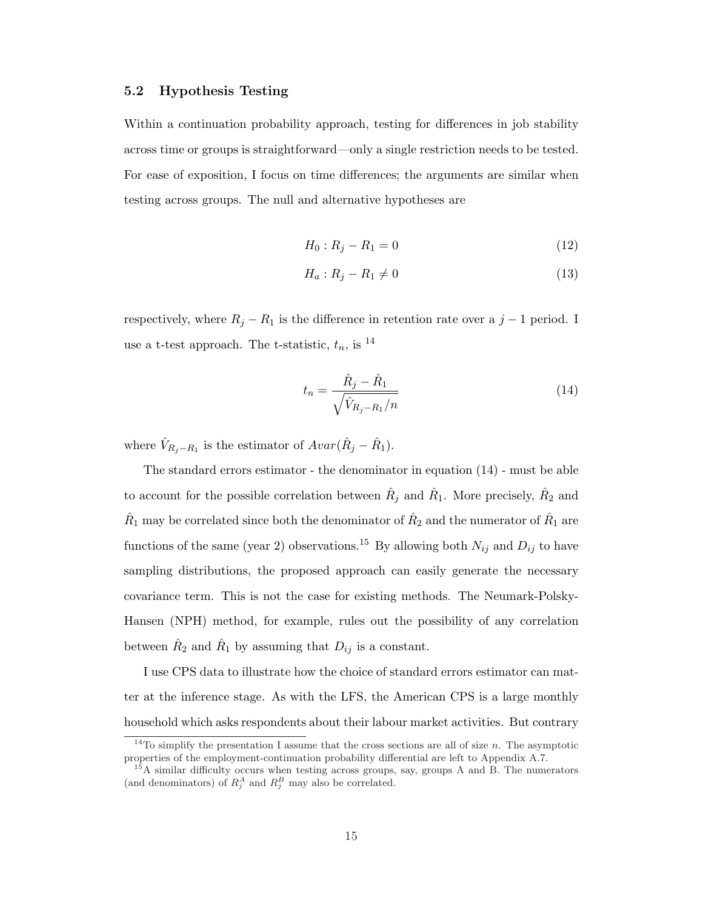#### 5.2 Hypothesis Testing

Within a continuation probability approach, testing for differences in job stability across time or groups is straightforward—only a single restriction needs to be tested. For ease of exposition, I focus on time differences; the arguments are similar when testing across groups. The null and alternative hypotheses are

$$
H_0: R_j - R_1 = 0 \tag{12}
$$

$$
H_a: R_j - R_1 \neq 0 \tag{13}
$$

respectively, where  $R_j - R_1$  is the difference in retention rate over a  $j - 1$  period. I use a t-test approach. The t-statistic,  $t_n$ , is <sup>14</sup>

$$
t_n = \frac{\hat{R}_j - \hat{R}_1}{\sqrt{\hat{V}_{R_j - R_1}/n}}
$$
\n(14)

where  $\hat{V}_{R_j-R_1}$  is the estimator of  $Avar(\hat{R}_j - \hat{R}_1)$ .

The standard errors estimator - the denominator in equation (14) - must be able to account for the possible correlation between  $\hat{R}_j$  and  $\hat{R}_1$ . More precisely,  $\hat{R}_2$  and  $\hat{R}_1$  may be correlated since both the denominator of  $\hat{R}_2$  and the numerator of  $\hat{R}_1$  are functions of the same (year 2) observations.<sup>15</sup> By allowing both  $N_{ij}$  and  $D_{ij}$  to have sampling distributions, the proposed approach can easily generate the necessary covariance term. This is not the case for existing methods. The Neumark-Polsky-Hansen (NPH) method, for example, rules out the possibility of any correlation between  $\hat{R}_2$  and  $\hat{R}_1$  by assuming that  $D_{ij}$  is a constant.

I use CPS data to illustrate how the choice of standard errors estimator can matter at the inference stage. As with the LFS, the American CPS is a large monthly household which asks respondents about their labour market activities. But contrary

 $14$ To simplify the presentation I assume that the cross sections are all of size n. The asymptotic properties of the employment-continuation probability differential are left to Appendix A.7.

 $15A$  similar difficulty occurs when testing across groups, say, groups A and B. The numerators (and denominators) of  $R_j^A$  and  $R_j^B$  may also be correlated.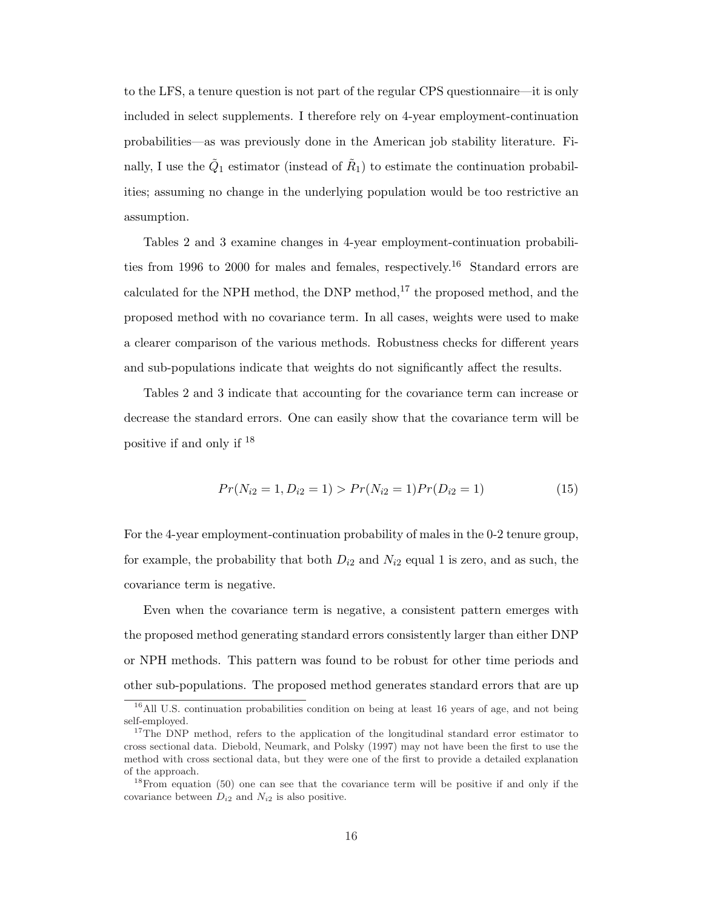to the LFS, a tenure question is not part of the regular CPS questionnaire—it is only included in select supplements. I therefore rely on 4-year employment-continuation probabilities—as was previously done in the American job stability literature. Finally, I use the  $\tilde{Q}_1$  estimator (instead of  $\tilde{R}_1$ ) to estimate the continuation probabilities; assuming no change in the underlying population would be too restrictive an assumption.

Tables 2 and 3 examine changes in 4-year employment-continuation probabilities from 1996 to 2000 for males and females, respectively.<sup>16</sup> Standard errors are calculated for the NPH method, the DNP method,<sup>17</sup> the proposed method, and the proposed method with no covariance term. In all cases, weights were used to make a clearer comparison of the various methods. Robustness checks for different years and sub-populations indicate that weights do not significantly affect the results.

Tables 2 and 3 indicate that accounting for the covariance term can increase or decrease the standard errors. One can easily show that the covariance term will be positive if and only if <sup>18</sup>

$$
Pr(N_{i2} = 1, D_{i2} = 1) > Pr(N_{i2} = 1)Pr(D_{i2} = 1)
$$
\n(15)

For the 4-year employment-continuation probability of males in the 0-2 tenure group, for example, the probability that both  $D_{i2}$  and  $N_{i2}$  equal 1 is zero, and as such, the covariance term is negative.

Even when the covariance term is negative, a consistent pattern emerges with the proposed method generating standard errors consistently larger than either DNP or NPH methods. This pattern was found to be robust for other time periods and other sub-populations. The proposed method generates standard errors that are up

<sup>&</sup>lt;sup>16</sup>All U.S. continuation probabilities condition on being at least 16 years of age, and not being self-employed.

<sup>&</sup>lt;sup>17</sup>The DNP method, refers to the application of the longitudinal standard error estimator to cross sectional data. Diebold, Neumark, and Polsky (1997) may not have been the first to use the method with cross sectional data, but they were one of the first to provide a detailed explanation of the approach.

<sup>&</sup>lt;sup>18</sup>From equation (50) one can see that the covariance term will be positive if and only if the covariance between  $D_{i2}$  and  $N_{i2}$  is also positive.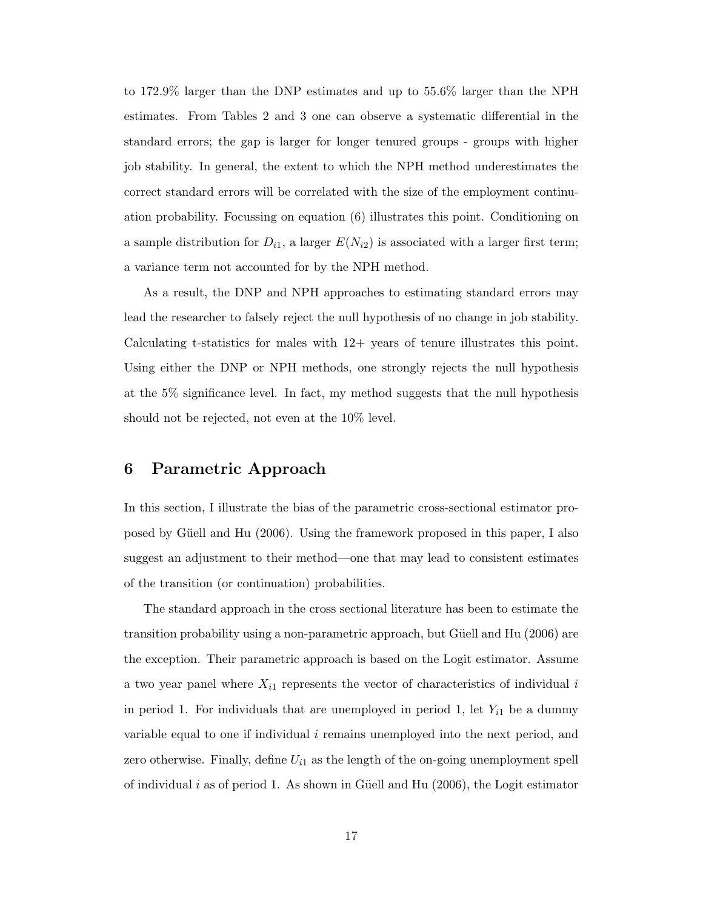to 172.9% larger than the DNP estimates and up to 55.6% larger than the NPH estimates. From Tables 2 and 3 one can observe a systematic differential in the standard errors; the gap is larger for longer tenured groups - groups with higher job stability. In general, the extent to which the NPH method underestimates the correct standard errors will be correlated with the size of the employment continuation probability. Focussing on equation (6) illustrates this point. Conditioning on a sample distribution for  $D_{i1}$ , a larger  $E(N_{i2})$  is associated with a larger first term; a variance term not accounted for by the NPH method.

As a result, the DNP and NPH approaches to estimating standard errors may lead the researcher to falsely reject the null hypothesis of no change in job stability. Calculating t-statistics for males with 12+ years of tenure illustrates this point. Using either the DNP or NPH methods, one strongly rejects the null hypothesis at the 5% significance level. In fact, my method suggests that the null hypothesis should not be rejected, not even at the 10% level.

## 6 Parametric Approach

In this section, I illustrate the bias of the parametric cross-sectional estimator proposed by Güell and Hu (2006). Using the framework proposed in this paper, I also suggest an adjustment to their method—one that may lead to consistent estimates of the transition (or continuation) probabilities.

The standard approach in the cross sectional literature has been to estimate the transition probability using a non-parametric approach, but Güell and Hu (2006) are the exception. Their parametric approach is based on the Logit estimator. Assume a two year panel where  $X_{i1}$  represents the vector of characteristics of individual i in period 1. For individuals that are unemployed in period 1, let  $Y_{i1}$  be a dummy variable equal to one if individual i remains unemployed into the next period, and zero otherwise. Finally, define  $U_{i1}$  as the length of the on-going unemployment spell of individual  $i$  as of period 1. As shown in Güell and Hu (2006), the Logit estimator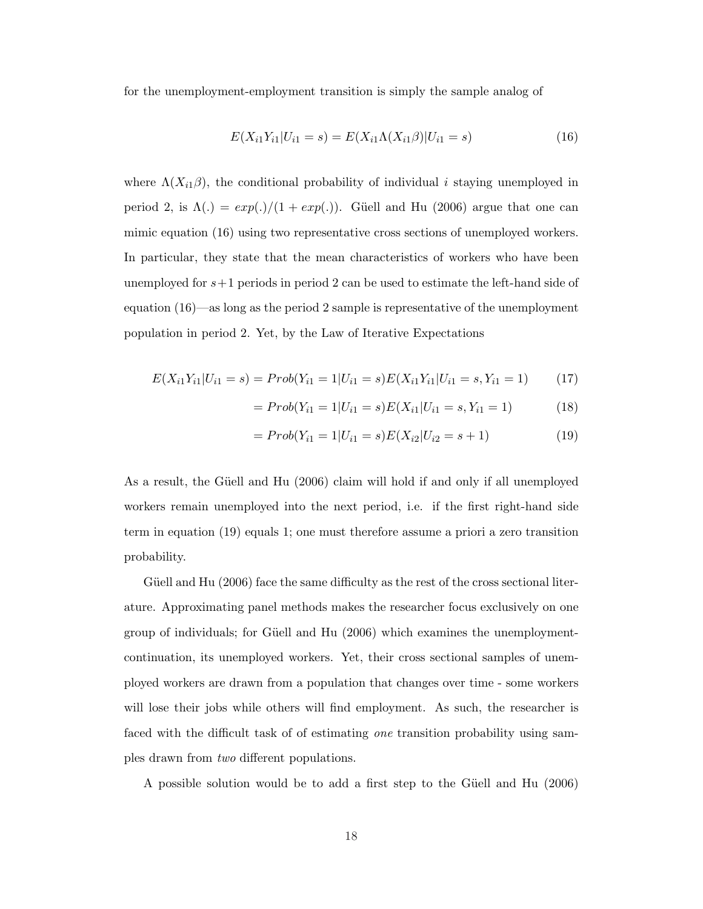for the unemployment-employment transition is simply the sample analog of

$$
E(X_{i1}Y_{i1}|U_{i1}=s) = E(X_{i1}\Lambda(X_{i1}\beta)|U_{i1}=s)
$$
\n(16)

where  $\Lambda(X_{i1}\beta)$ , the conditional probability of individual i staying unemployed in period 2, is  $\Lambda(.) = exp(.)/(1 + exp(.)).$  Güell and Hu (2006) argue that one can mimic equation (16) using two representative cross sections of unemployed workers. In particular, they state that the mean characteristics of workers who have been unemployed for  $s+1$  periods in period 2 can be used to estimate the left-hand side of equation (16)—as long as the period 2 sample is representative of the unemployment population in period 2. Yet, by the Law of Iterative Expectations

$$
E(X_{i1}Y_{i1}|U_{i1}=s) = Prob(Y_{i1}=1|U_{i1}=s)E(X_{i1}Y_{i1}|U_{i1}=s,Y_{i1}=1)
$$
(17)

$$
= Prob(Y_{i1} = 1 | U_{i1} = s)E(X_{i1} | U_{i1} = s, Y_{i1} = 1)
$$
\n(18)

$$
= Prob(Y_{i1} = 1 | U_{i1} = s)E(X_{i2} | U_{i2} = s + 1)
$$
\n(19)

As a result, the Güell and Hu (2006) claim will hold if and only if all unemployed workers remain unemployed into the next period, i.e. if the first right-hand side term in equation (19) equals 1; one must therefore assume a priori a zero transition probability.

Güell and Hu  $(2006)$  face the same difficulty as the rest of the cross sectional literature. Approximating panel methods makes the researcher focus exclusively on one group of individuals; for Güell and Hu (2006) which examines the unemploymentcontinuation, its unemployed workers. Yet, their cross sectional samples of unemployed workers are drawn from a population that changes over time - some workers will lose their jobs while others will find employment. As such, the researcher is faced with the difficult task of of estimating one transition probability using samples drawn from two different populations.

A possible solution would be to add a first step to the Güell and Hu (2006)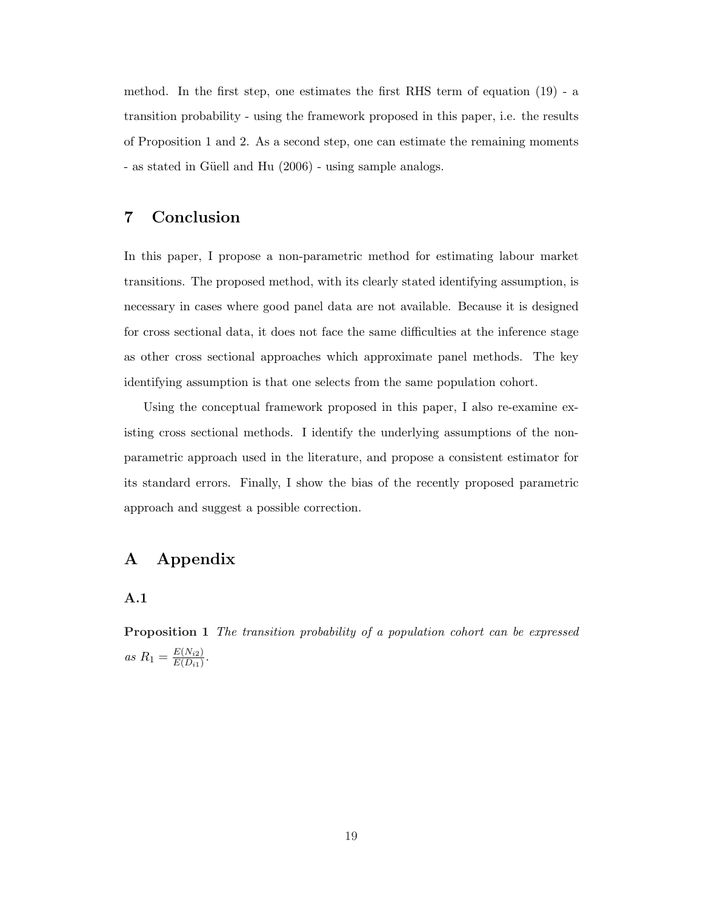method. In the first step, one estimates the first RHS term of equation (19) - a transition probability - using the framework proposed in this paper, i.e. the results of Proposition 1 and 2. As a second step, one can estimate the remaining moments - as stated in Güell and Hu (2006) - using sample analogs.

### 7 Conclusion

In this paper, I propose a non-parametric method for estimating labour market transitions. The proposed method, with its clearly stated identifying assumption, is necessary in cases where good panel data are not available. Because it is designed for cross sectional data, it does not face the same difficulties at the inference stage as other cross sectional approaches which approximate panel methods. The key identifying assumption is that one selects from the same population cohort.

Using the conceptual framework proposed in this paper, I also re-examine existing cross sectional methods. I identify the underlying assumptions of the nonparametric approach used in the literature, and propose a consistent estimator for its standard errors. Finally, I show the bias of the recently proposed parametric approach and suggest a possible correction.

### A Appendix

#### A.1

Proposition 1 The transition probability of a population cohort can be expressed as  $R_1 = \frac{E(N_{i2})}{E(D_{i1})}$  $\frac{E(N_{i2})}{E(D_{i1})}$ .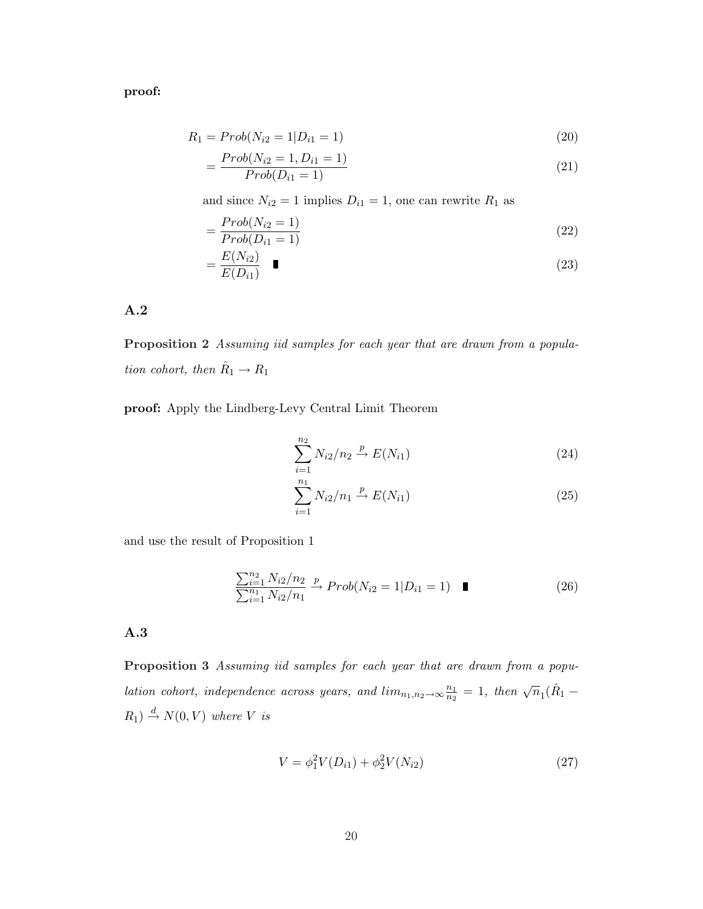proof:

$$
R_1 = Prob(N_{i2} = 1 | D_{i1} = 1)
$$
\n(20)

$$
= \frac{Prob(N_{i2} = 1, D_{i1} = 1)}{Prob(D_{i1} = 1)}
$$
\n(21)

and since  $N_{i2} = 1$  implies  $D_{i1} = 1$ , one can rewrite  $R_1$  as

$$
=\frac{Prob(N_{i2}=1)}{Prob(D_{i1}=1)}
$$
\n(22)

$$
=\frac{E(N_{i2})}{E(D_{i1})}\quad \blacksquare \tag{23}
$$

### A.2

Proposition 2 Assuming iid samples for each year that are drawn from a population cohort, then  $\hat{R}_1 \rightarrow R_1$ 

proof: Apply the Lindberg-Levy Central Limit Theorem

$$
\sum_{i=1}^{n_2} N_{i2}/n_2 \xrightarrow{p} E(N_{i1})
$$
 (24)

$$
\sum_{i=1}^{n_1} N_{i2}/n_1 \xrightarrow{p} E(N_{i1})
$$
 (25)

and use the result of Proposition 1

$$
\frac{\sum_{i=1}^{n_2} N_{i2}/n_2}{\sum_{i=1}^{n_1} N_{i2}/n_1} \xrightarrow{p} Prob(N_{i2} = 1 | D_{i1} = 1) \quad \blacksquare
$$
\n(26)

### A.3

Proposition 3 Assuming iid samples for each year that are drawn from a population cohort, independence across years, and  $\lim_{n_1,n_2\to\infty} \frac{n_1}{n_2}$  $\frac{n_1}{n_2} = 1$ , then  $\sqrt{n_1}(\hat{R}_1 R_1$   $\stackrel{d}{\rightarrow} N(0, V)$  where V is

$$
V = \phi_1^2 V(D_{i1}) + \phi_2^2 V(N_{i2})
$$
\n(27)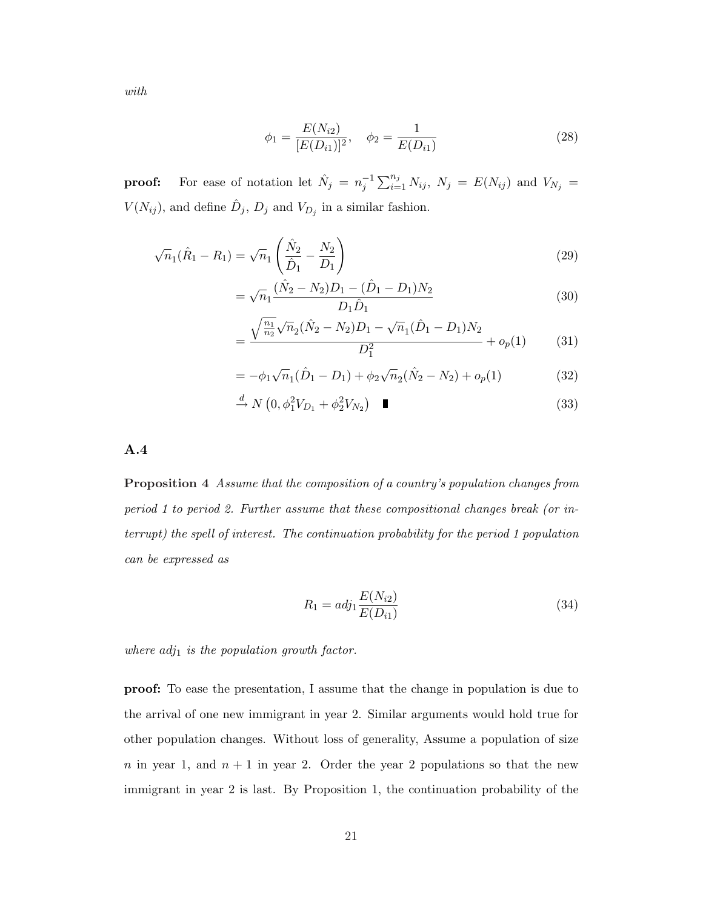with

$$
\phi_1 = \frac{E(N_{i2})}{[E(D_{i1})]^2}, \quad \phi_2 = \frac{1}{E(D_{i1})}
$$
\n(28)

**proof:** For ease of notation let  $\hat{N}_j = n_j^{-1}$  $\bigcap_{j=1}^{n}$  $i=1 \atop i=1}^{n_j} N_{ij}, N_j = E(N_{ij})$  and  $V_{N_j} =$  $V(N_{ij})$ , and define  $\hat{D}_j$ ,  $D_j$  and  $V_{D_j}$  in a similar fashion.

$$
\sqrt{n}_1(\hat{R}_1 - R_1) = \sqrt{n}_1 \left( \frac{\hat{N}_2}{\hat{D}_1} - \frac{N_2}{D_1} \right)
$$
\n(29)

$$
= \sqrt{n_1} \frac{(\hat{N}_2 - N_2)D_1 - (\hat{D}_1 - D_1)N_2}{D_1 \hat{D}_1} \tag{30}
$$

$$
= \frac{\sqrt{\frac{n_1}{n_2}}\sqrt{n_2}(\hat{N}_2 - N_2)D_1 - \sqrt{n_1}(\hat{D}_1 - D_1)N_2}{D_1^2} + o_p(1) \tag{31}
$$

$$
= -\phi_1 \sqrt{n_1} (\hat{D}_1 - D_1) + \phi_2 \sqrt{n_2} (\hat{N}_2 - N_2) + o_p(1)
$$
\n(32)

$$
\xrightarrow{d} N\left(0, \phi_1^2 V_{D_1} + \phi_2^2 V_{N_2}\right) \quad \blacksquare \tag{33}
$$

A.4

Proposition 4 Assume that the composition of a country's population changes from period 1 to period 2. Further assume that these compositional changes break (or interrupt) the spell of interest. The continuation probability for the period 1 population can be expressed as

$$
R_1 = adj_1 \frac{E(N_{i2})}{E(D_{i1})}
$$
\n(34)

where  $adj_1$  is the population growth factor.

proof: To ease the presentation, I assume that the change in population is due to the arrival of one new immigrant in year 2. Similar arguments would hold true for other population changes. Without loss of generality, Assume a population of size n in year 1, and  $n + 1$  in year 2. Order the year 2 populations so that the new immigrant in year 2 is last. By Proposition 1, the continuation probability of the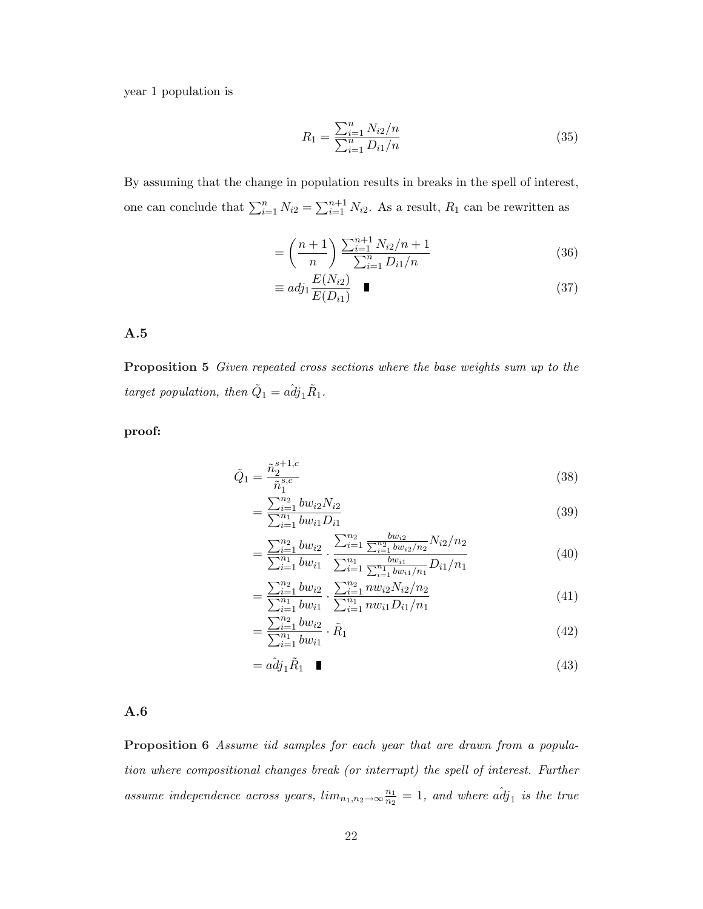year 1 population is

$$
R_1 = \frac{\sum_{i=1}^{n} N_{i2}/n}{\sum_{i=1}^{n} D_{i1}/n}
$$
\n(35)

By assuming that the change in population results in breaks in the spell of interest, one can conclude that  $\sum_{i=1}^{n} N_{i2} =$  $\sum_{n+1}$  $i=1 \atop i=1}^{n+1} N_{i2}$ . As a result,  $R_1$  can be rewritten as

$$
= \left(\frac{n+1}{n}\right) \frac{\sum_{i=1}^{n+1} N_{i2}/n + 1}{\sum_{i=1}^{n} D_{i1}/n} \tag{36}
$$

$$
\equiv adj_1 \frac{E(N_{i2})}{E(D_{i1})} \quad \blacksquare \tag{37}
$$

#### A.5

Proposition 5 Given repeated cross sections where the base weights sum up to the target population, then  $\tilde{Q}_1 = a \hat{d} j_1 \tilde{R}_1$ .

#### proof:

$$
\tilde{Q}_1 = \frac{\tilde{n}_2^{s+1,c}}{\tilde{n}_1^{s,c}}\tag{38}
$$

$$
=\frac{\sum_{i=1}^{n_2} b w_{i2} N_{i2}}{\sum_{i=1}^{n_1} b w_{i1} D_{i1}}\tag{39}
$$

$$
= \frac{\sum_{i=1}^{n_2} bw_{i2}}{\sum_{i=1}^{n_1} bw_{i1}} \cdot \frac{\sum_{i=1}^{n_2} \frac{bw_{i2}}{\sum_{i=1}^{n_2} bw_{i2}/n_2} N_{i2}/n_2}{\sum_{i=1}^{n_1} \frac{bw_{i1}}{\sum_{i=1}^{n_1} bw_{i1}/n_1} D_{i1}/n_1}
$$
(40)

$$
= \frac{\sum_{i=1}^{n_2} bw_{i2}}{\sum_{i=1}^{n_1} bw_{i1}} \cdot \frac{\sum_{i=1}^{n_2} nw_{i2} N_{i2}/n_2}{\sum_{i=1}^{n_1} nw_{i1} D_{i1}/n_1}
$$
(41)

$$
= \frac{\sum_{i=1}^{n_2} b w_{i1}}{\sum_{i=1}^{n_1} b w_{i1}} \cdot \tilde{R}_1
$$
\n(42)

$$
= a\hat{d}j_1\tilde{R}_1 \quad \blacksquare \tag{43}
$$

#### A.6

Proposition 6 Assume iid samples for each year that are drawn from a population where compositional changes break (or interrupt) the spell of interest. Further assume independence across years,  $lim_{n_1,n_2\to\infty} \frac{n_1}{n_2}$  $\frac{n_1}{n_2} = 1$ , and where  $a\hat{d}j_1$  is the true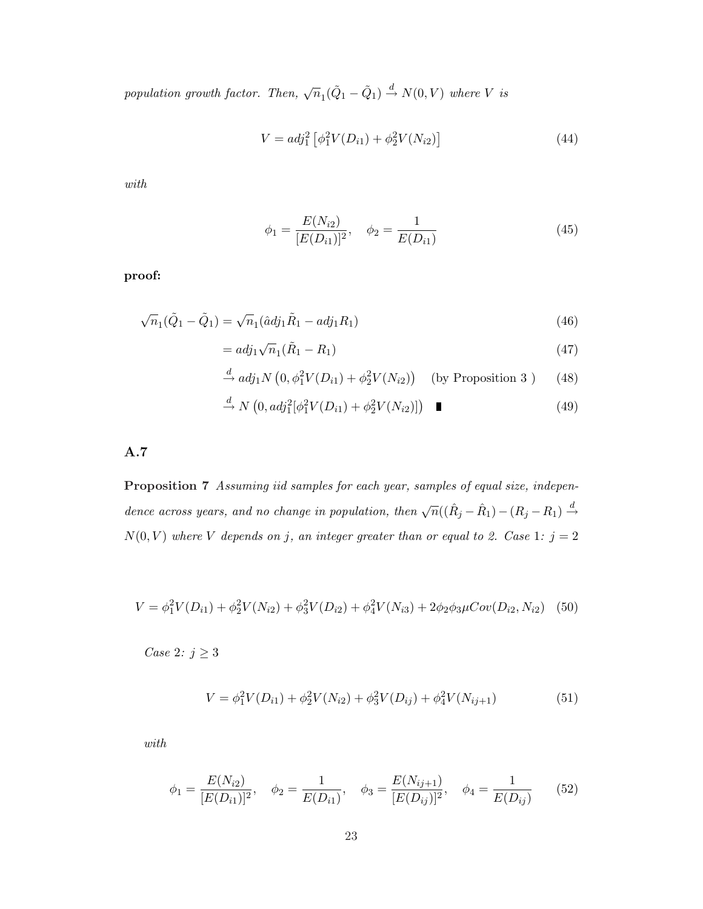population growth factor. Then,  $\sqrt{n}_1(\tilde{Q}_1 - \tilde{Q}_1) \stackrel{d}{\rightarrow} N(0, V)$  where V is

$$
V = adj_1^2 \left[ \phi_1^2 V(D_{i1}) + \phi_2^2 V(N_{i2}) \right]
$$
 (44)

with

$$
\phi_1 = \frac{E(N_{i2})}{[E(D_{i1})]^2}, \quad \phi_2 = \frac{1}{E(D_{i1})}
$$
\n(45)

proof:

$$
\sqrt{n}_1(\tilde{Q}_1 - \tilde{Q}_1) = \sqrt{n}_1(\hat{a}d\hat{j}_1\tilde{R}_1 - ad\hat{j}_1R_1)
$$
\n(46)

$$
= adj_1\sqrt{n}_1(\tilde{R}_1 - R_1) \tag{47}
$$

$$
\stackrel{d}{\rightarrow} adj_1 N\left(0, \phi_1^2 V(D_{i1}) + \phi_2^2 V(N_{i2})\right) \quad \text{(by Proposition 3)} \tag{48}
$$

$$
\xrightarrow{d} N\left(0, adj_1^2[\phi_1^2 V(D_{i1}) + \phi_2^2 V(N_{i2})]\right) \quad \blacksquare \tag{49}
$$

A.7

Proposition 7 Assuming iid samples for each year, samples of equal size, independence across years, and no change in population, then  $\sqrt{n}((\hat{R}_j - \hat{R}_1) - (R_j - R_1) \stackrel{d}{\rightarrow}$  $N(0, V)$  where V depends on j, an integer greater than or equal to 2. Case 1:  $j = 2$ 

$$
V = \phi_1^2 V(D_{i1}) + \phi_2^2 V(N_{i2}) + \phi_3^2 V(D_{i2}) + \phi_4^2 V(N_{i3}) + 2\phi_2 \phi_3 \mu Cov(D_{i2}, N_{i2})
$$
 (50)

 $\emph{Case 2: } j \geq 3$ 

$$
V = \phi_1^2 V(D_{i1}) + \phi_2^2 V(N_{i2}) + \phi_3^2 V(D_{ij}) + \phi_4^2 V(N_{ij+1})
$$
\n(51)

with

$$
\phi_1 = \frac{E(N_{i2})}{[E(D_{i1})]^2}, \quad \phi_2 = \frac{1}{E(D_{i1})}, \quad \phi_3 = \frac{E(N_{ij+1})}{[E(D_{ij})]^2}, \quad \phi_4 = \frac{1}{E(D_{ij})}
$$
(52)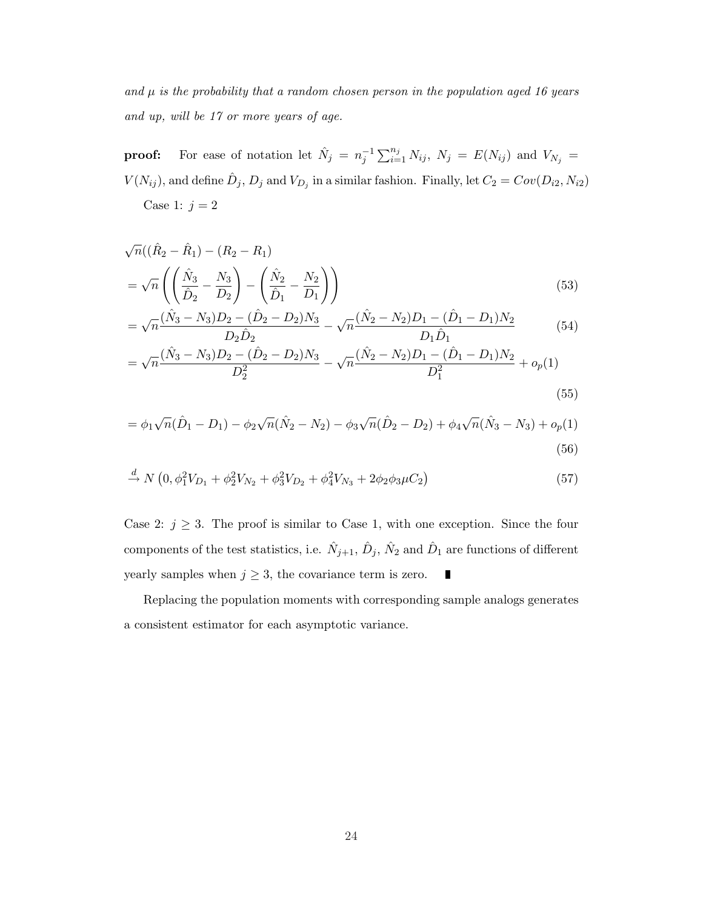and  $\mu$  is the probability that a random chosen person in the population aged 16 years and up, will be 17 or more years of age.

**proof:** For ease of notation let  $\hat{N}_j = n_j^{-1}$  $\bigcap_{j} n_j$  $\sum_{i=1}^{n_j} N_{ij}, N_j = E(N_{ij})$  and  $V_{N_j} =$  $V(N_{ij})$ , and define  $\hat{D}_j$ ,  $D_j$  and  $V_{D_j}$  in a similar fashion. Finally, let  $C_2 = Cov(D_{i2}, N_{i2})$ Case 1:  $j = 2$ 

$$
\sqrt{n}((\hat{R}_2 - \hat{R}_1) - (R_2 - R_1))
$$
  
=  $\sqrt{n} \left( \left( \frac{\hat{N}_3}{\hat{D}_2} - \frac{N_3}{D_2} \right) - \left( \frac{\hat{N}_2}{\hat{D}_1} - \frac{N_2}{D_1} \right) \right)$  (53)

$$
= \sqrt{n} \frac{(\hat{N}_3 - N_3)D_2 - (\hat{D}_2 - D_2)N_3}{D_2 \hat{D}_2} - \sqrt{n} \frac{(\hat{N}_2 - N_2)D_1 - (\hat{D}_1 - D_1)N_2}{D_1 \hat{D}_1}
$$
(54)

$$
= \sqrt{n} \frac{(\hat{N}_3 - N_3)D_2 - (\hat{D}_2 - D_2)N_3}{D_2^2} - \sqrt{n} \frac{(\hat{N}_2 - N_2)D_1 - (\hat{D}_1 - D_1)N_2}{D_1^2} + o_p(1)
$$
\n(55)

$$
= \phi_1 \sqrt{n}(\hat{D}_1 - D_1) - \phi_2 \sqrt{n}(\hat{N}_2 - N_2) - \phi_3 \sqrt{n}(\hat{D}_2 - D_2) + \phi_4 \sqrt{n}(\hat{N}_3 - N_3) + o_p(1)
$$
\n(56)

$$
\stackrel{d}{\rightarrow} N\left(0, \phi_1^2 V_{D_1} + \phi_2^2 V_{N_2} + \phi_3^2 V_{D_2} + \phi_4^2 V_{N_3} + 2\phi_2 \phi_3 \mu C_2\right) \tag{57}
$$

Case 2:  $j \geq 3$ . The proof is similar to Case 1, with one exception. Since the four components of the test statistics, i.e.  $\hat{N}_{j+1}$ ,  $\hat{D}_j$ ,  $\hat{N}_2$  and  $\hat{D}_1$  are functions of different yearly samples when  $j \geq 3$ , the covariance term is zero. 

Replacing the population moments with corresponding sample analogs generates a consistent estimator for each asymptotic variance.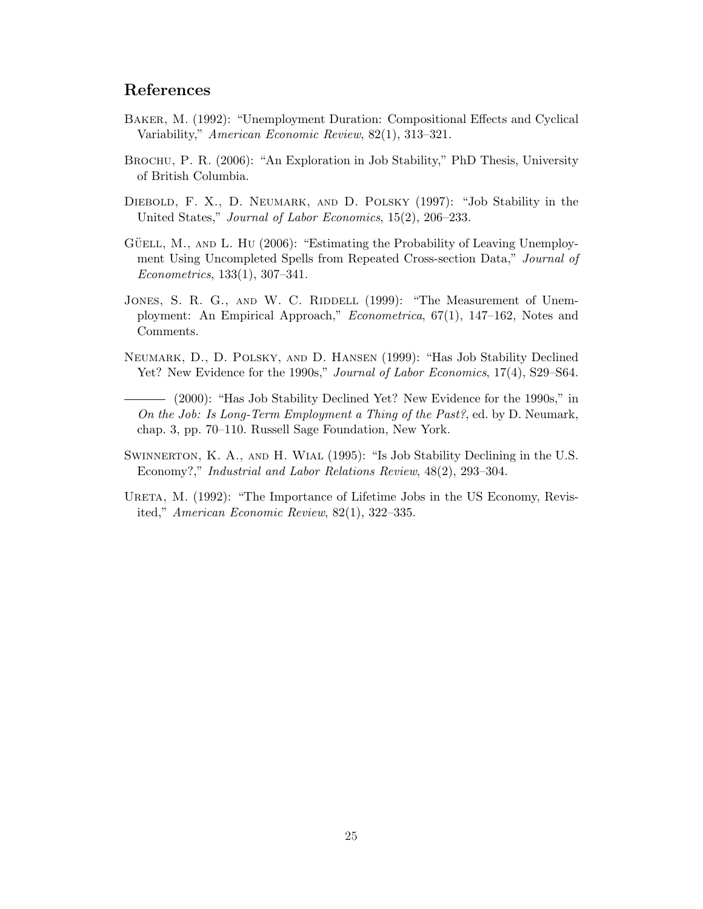# References

- Baker, M. (1992): "Unemployment Duration: Compositional Effects and Cyclical Variability," American Economic Review, 82(1), 313–321.
- Brochu, P. R. (2006): "An Exploration in Job Stability," PhD Thesis, University of British Columbia.
- DIEBOLD, F. X., D. NEUMARK, AND D. POLSKY (1997): "Job Stability in the United States," Journal of Labor Economics, 15(2), 206–233.
- GÜELL, M., AND L. HU (2006): "Estimating the Probability of Leaving Unemployment Using Uncompleted Spells from Repeated Cross-section Data," Journal of Econometrics, 133(1), 307–341.
- JONES, S. R. G., AND W. C. RIDDELL (1999): "The Measurement of Unemployment: An Empirical Approach," Econometrica, 67(1), 147–162, Notes and Comments.
- Neumark, D., D. Polsky, and D. Hansen (1999): "Has Job Stability Declined Yet? New Evidence for the 1990s," Journal of Labor Economics, 17(4), S29–S64.
- (2000): "Has Job Stability Declined Yet? New Evidence for the 1990s," in On the Job: Is Long-Term Employment a Thing of the Past?, ed. by D. Neumark, chap. 3, pp. 70–110. Russell Sage Foundation, New York.
- SWINNERTON, K. A., AND H. WIAL (1995): "Is Job Stability Declining in the U.S. Economy?," Industrial and Labor Relations Review, 48(2), 293–304.
- URETA, M. (1992): "The Importance of Lifetime Jobs in the US Economy, Revisited," American Economic Review, 82(1), 322–335.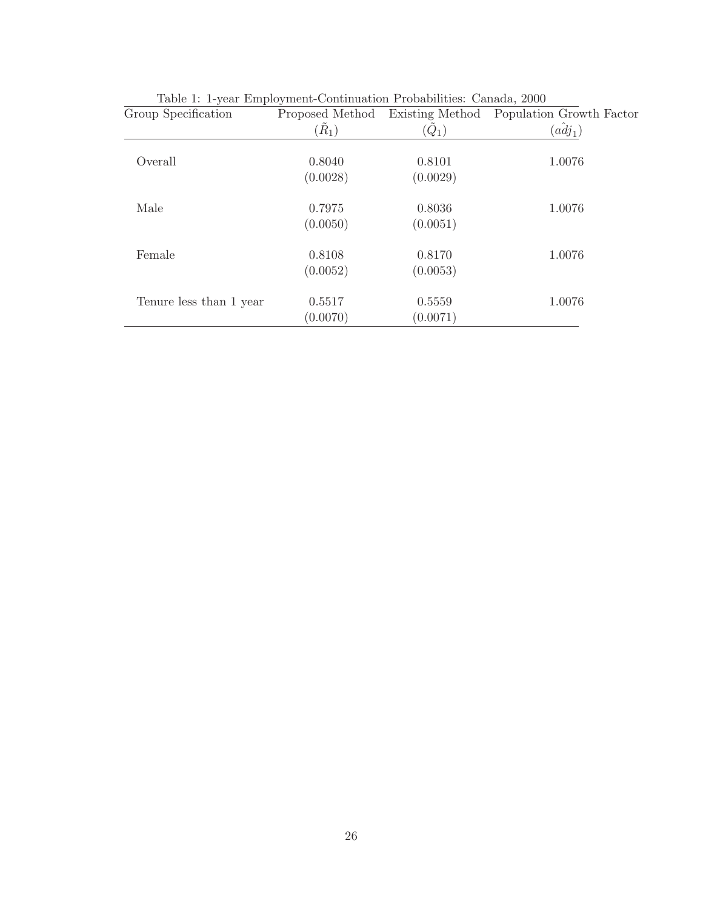| Group Specification     | Proposed Method   | Existing Method | Population Growth Factor |
|-------------------------|-------------------|-----------------|--------------------------|
|                         | $(\tilde{R}_{1})$ | $(Q_1)$         | $\overline{adj}_1)$      |
| Overall                 | 0.8040            | 0.8101          | 1.0076                   |
|                         | (0.0028)          | (0.0029)        |                          |
| Male                    | 0.7975            | 0.8036          | 1.0076                   |
|                         | (0.0050)          | (0.0051)        |                          |
| Female                  | 0.8108            | 0.8170          | 1.0076                   |
|                         | (0.0052)          | (0.0053)        |                          |
| Tenure less than 1 year | 0.5517            | 0.5559          | 1.0076                   |
|                         | (0.0070)          | (0.0071)        |                          |

Table 1: 1-year Employment-Continuation Probabilities: Canada, 2000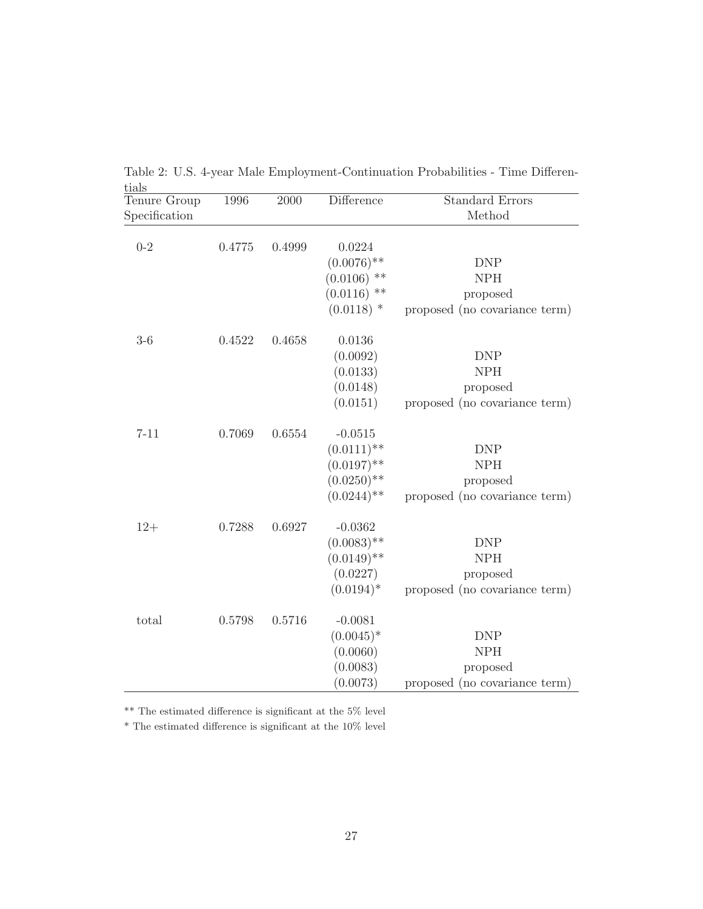| tials         |        |        |                                |                               |
|---------------|--------|--------|--------------------------------|-------------------------------|
| Tenure Group  | 1996   | 2000   | Difference                     | <b>Standard Errors</b>        |
| Specification |        |        |                                | Method                        |
|               |        |        |                                |                               |
| $0 - 2$       | 0.4775 | 0.4999 | 0.0224                         |                               |
|               |        |        | $(0.0076)$ **                  | <b>DNP</b>                    |
|               |        |        | $(0.0106)$ **                  | <b>NPH</b>                    |
|               |        |        | $(0.0116)$ **                  | proposed                      |
|               |        |        | $(0.0118)$ *                   | proposed (no covariance term) |
| $3-6$         | 0.4522 | 0.4658 | 0.0136                         |                               |
|               |        |        | (0.0092)                       | <b>DNP</b>                    |
|               |        |        | (0.0133)                       | <b>NPH</b>                    |
|               |        |        | (0.0148)                       | proposed                      |
|               |        |        | (0.0151)                       | proposed (no covariance term) |
|               |        | 0.6554 |                                |                               |
| $7 - 11$      | 0.7069 |        | $-0.0515$                      | <b>DNP</b>                    |
|               |        |        | $(0.0111)$ **                  | ${\rm NPH}$                   |
|               |        |        | $(0.0197)$ **                  |                               |
|               |        |        | $(0.0250)$ **<br>$(0.0244)$ ** | proposed                      |
|               |        |        |                                | proposed (no covariance term) |
| $12+$         | 0.7288 | 0.6927 | $-0.0362$                      |                               |
|               |        |        | $(0.0083)$ **                  | <b>DNP</b>                    |
|               |        |        | $(0.0149)$ **                  | <b>NPH</b>                    |
|               |        |        | (0.0227)                       | proposed                      |
|               |        |        | $(0.0194)^*$                   | proposed (no covariance term) |
| total         | 0.5798 | 0.5716 | $-0.0081$                      |                               |
|               |        |        | $(0.0045)^*$                   | <b>DNP</b>                    |
|               |        |        | (0.0060)                       | <b>NPH</b>                    |
|               |        |        | (0.0083)                       | proposed                      |
|               |        |        | (0.0073)                       | proposed (no covariance term) |
|               |        |        |                                |                               |

Table 2: U.S. 4-year Male Employment-Continuation Probabilities - Time Differen-

 $^{**}$  The estimated difference is significant at the  $5\%$  level

 $^\ast$  The estimated difference is significant at the 10% level